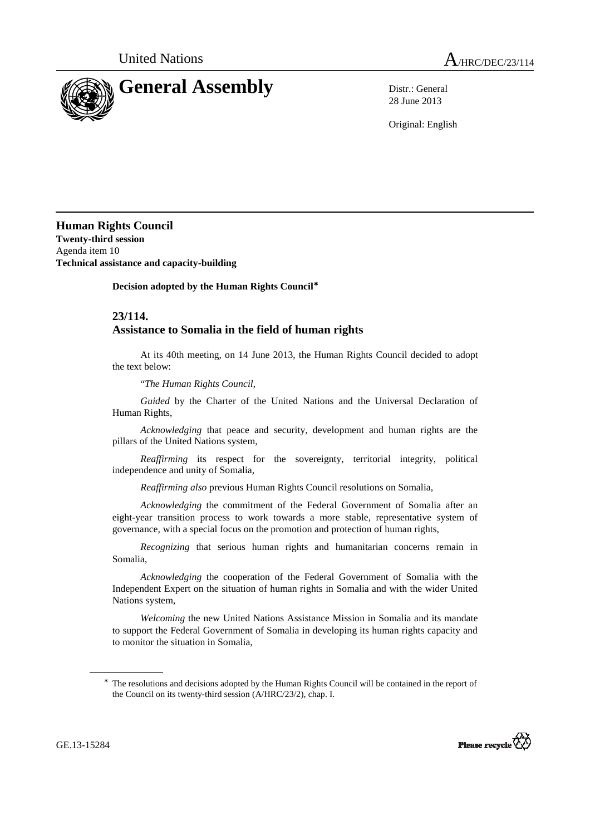

28 June 2013

Original: English

**Human Rights Council Twenty-third session**  Agenda item 10 **Technical assistance and capacity-building** 

 **Decision adopted by the Human Rights Council**<sup>∗</sup>

## **23/114. Assistance to Somalia in the field of human rights**

At its 40th meeting, on 14 June 2013, the Human Rights Council decided to adopt the text below:

"*The Human Rights Council*,

*Guided* by the Charter of the United Nations and the Universal Declaration of Human Rights,

 *Acknowledging* that peace and security, development and human rights are the pillars of the United Nations system,

 *Reaffirming* its respect for the sovereignty, territorial integrity, political independence and unity of Somalia,

*Reaffirming also* previous Human Rights Council resolutions on Somalia,

*Acknowledging* the commitment of the Federal Government of Somalia after an eight-year transition process to work towards a more stable, representative system of governance, with a special focus on the promotion and protection of human rights,

*Recognizing* that serious human rights and humanitarian concerns remain in Somalia,

*Acknowledging* the cooperation of the Federal Government of Somalia with the Independent Expert on the situation of human rights in Somalia and with the wider United Nations system,

*Welcoming* the new United Nations Assistance Mission in Somalia and its mandate to support the Federal Government of Somalia in developing its human rights capacity and to monitor the situation in Somalia,

<sup>∗</sup> The resolutions and decisions adopted by the Human Rights Council will be contained in the report of the Council on its twenty-third session (A/HRC/23/2), chap. I.



 $\overline{a}$